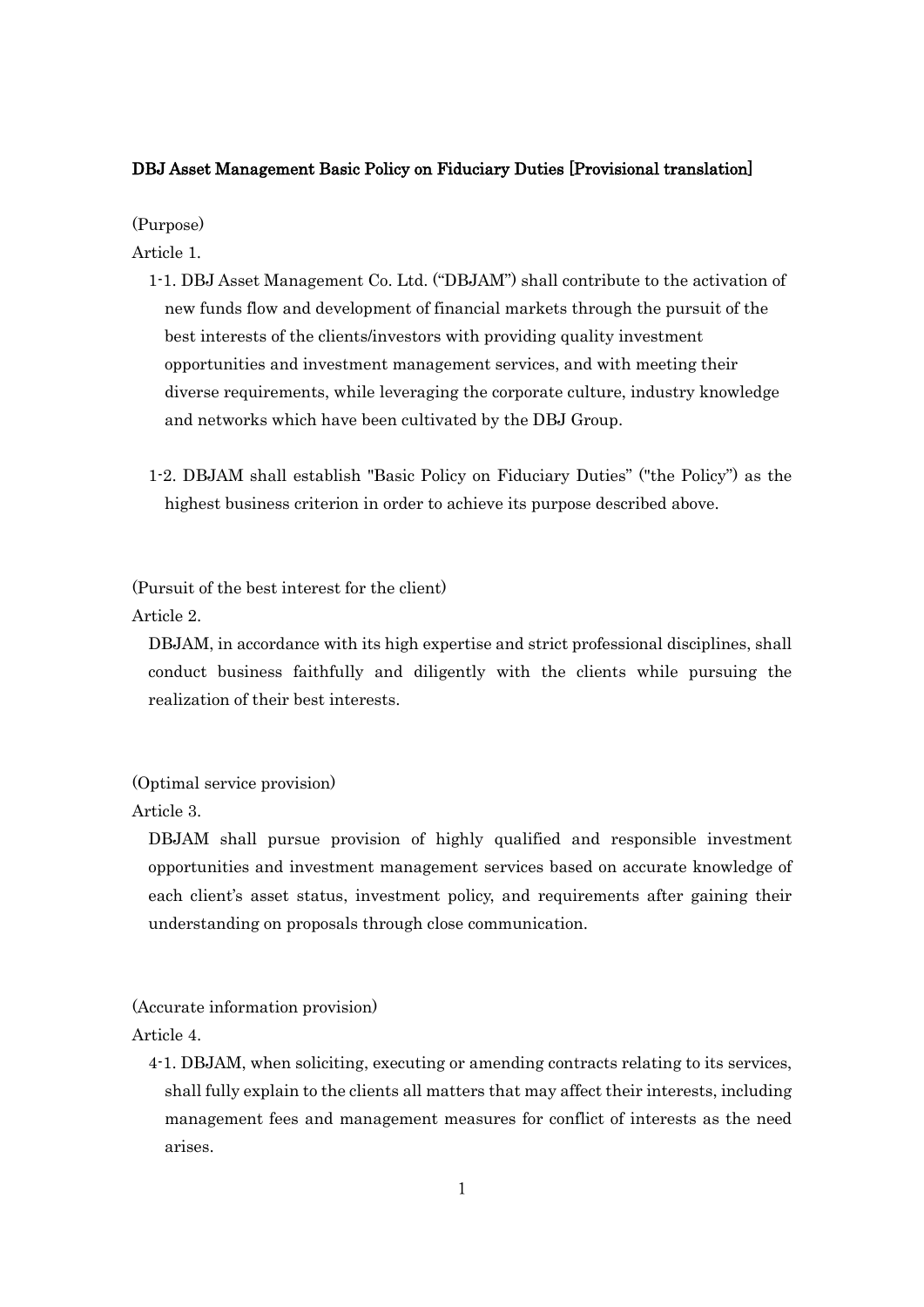## DBJ Asset Management Basic Policy on Fiduciary Duties [Provisional translation]

(Purpose)

Article 1.

- 1-1. DBJ Asset Management Co. Ltd. ("DBJAM") shall contribute to the activation of new funds flow and development of financial markets through the pursuit of the best interests of the clients/investors with providing quality investment opportunities and investment management services, and with meeting their diverse requirements, while leveraging the corporate culture, industry knowledge and networks which have been cultivated by the DBJ Group.
- 1-2. DBJAM shall establish "Basic Policy on Fiduciary Duties" ("the Policy") as the highest business criterion in order to achieve its purpose described above.

(Pursuit of the best interest for the client)

Article 2.

DBJAM, in accordance with its high expertise and strict professional disciplines, shall conduct business faithfully and diligently with the clients while pursuing the realization of their best interests.

(Optimal service provision)

Article 3.

DBJAM shall pursue provision of highly qualified and responsible investment opportunities and investment management services based on accurate knowledge of each client's asset status, investment policy, and requirements after gaining their understanding on proposals through close communication.

(Accurate information provision)

Article 4.

4-1. DBJAM, when soliciting, executing or amending contracts relating to its services, shall fully explain to the clients all matters that may affect their interests, including management fees and management measures for conflict of interests as the need arises.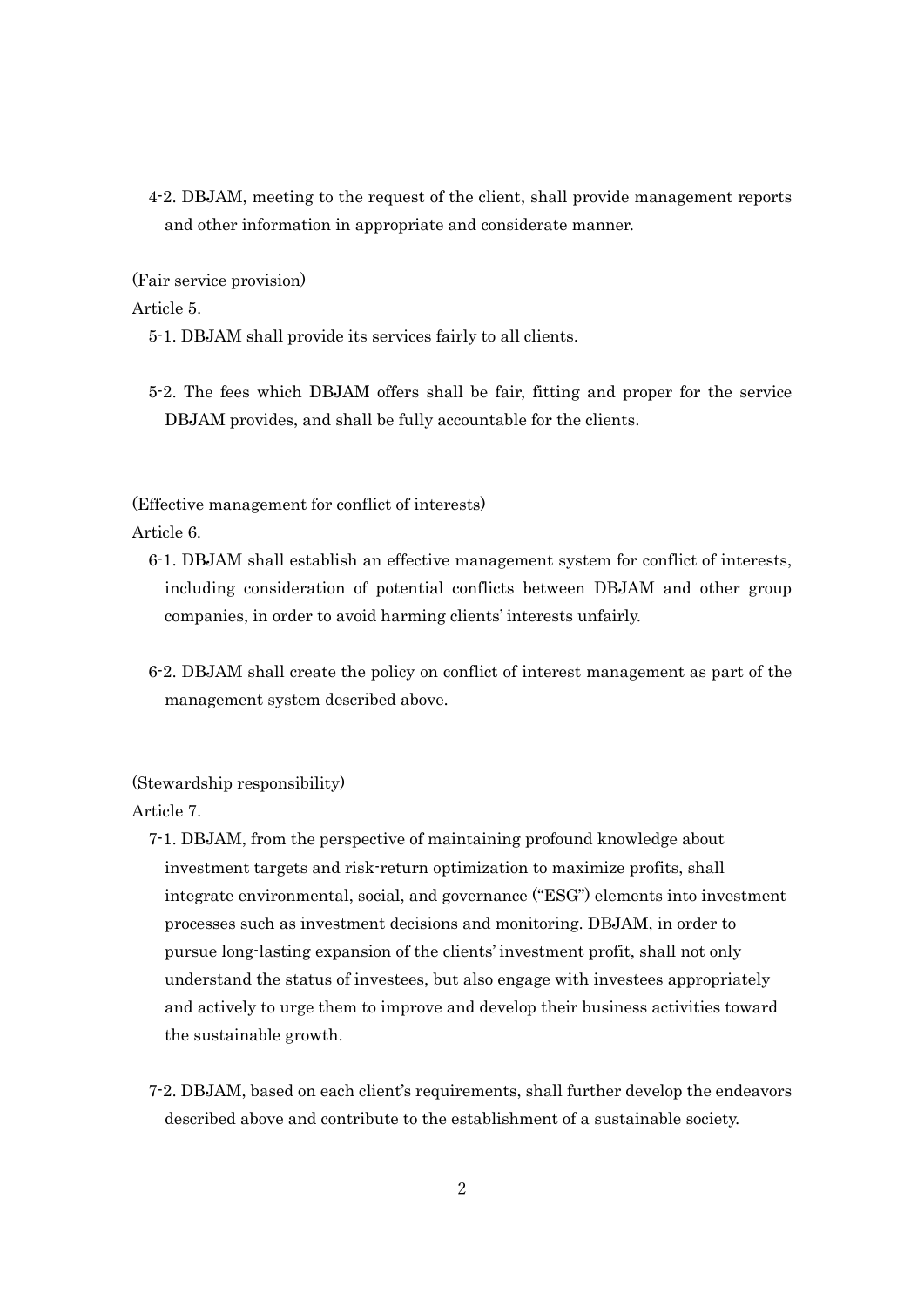4-2. DBJAM, meeting to the request of the client, shall provide management reports and other information in appropriate and considerate manner.

(Fair service provision)

Article 5.

- 5-1. DBJAM shall provide its services fairly to all clients.
- 5-2. The fees which DBJAM offers shall be fair, fitting and proper for the service DBJAM provides, and shall be fully accountable for the clients.

(Effective management for conflict of interests)

Article 6.

- 6-1. DBJAM shall establish an effective management system for conflict of interests, including consideration of potential conflicts between DBJAM and other group companies, in order to avoid harming clients' interests unfairly.
- 6-2. DBJAM shall create the policy on conflict of interest management as part of the management system described above.

(Stewardship responsibility)

Article 7.

- 7-1. DBJAM, from the perspective of maintaining profound knowledge about investment targets and risk-return optimization to maximize profits, shall integrate environmental, social, and governance ("ESG") elements into investment processes such as investment decisions and monitoring. DBJAM, in order to pursue long-lasting expansion of the clients' investment profit, shall not only understand the status of investees, but also engage with investees appropriately and actively to urge them to improve and develop their business activities toward the sustainable growth.
- 7-2. DBJAM, based on each client's requirements, shall further develop the endeavors described above and contribute to the establishment of a sustainable society.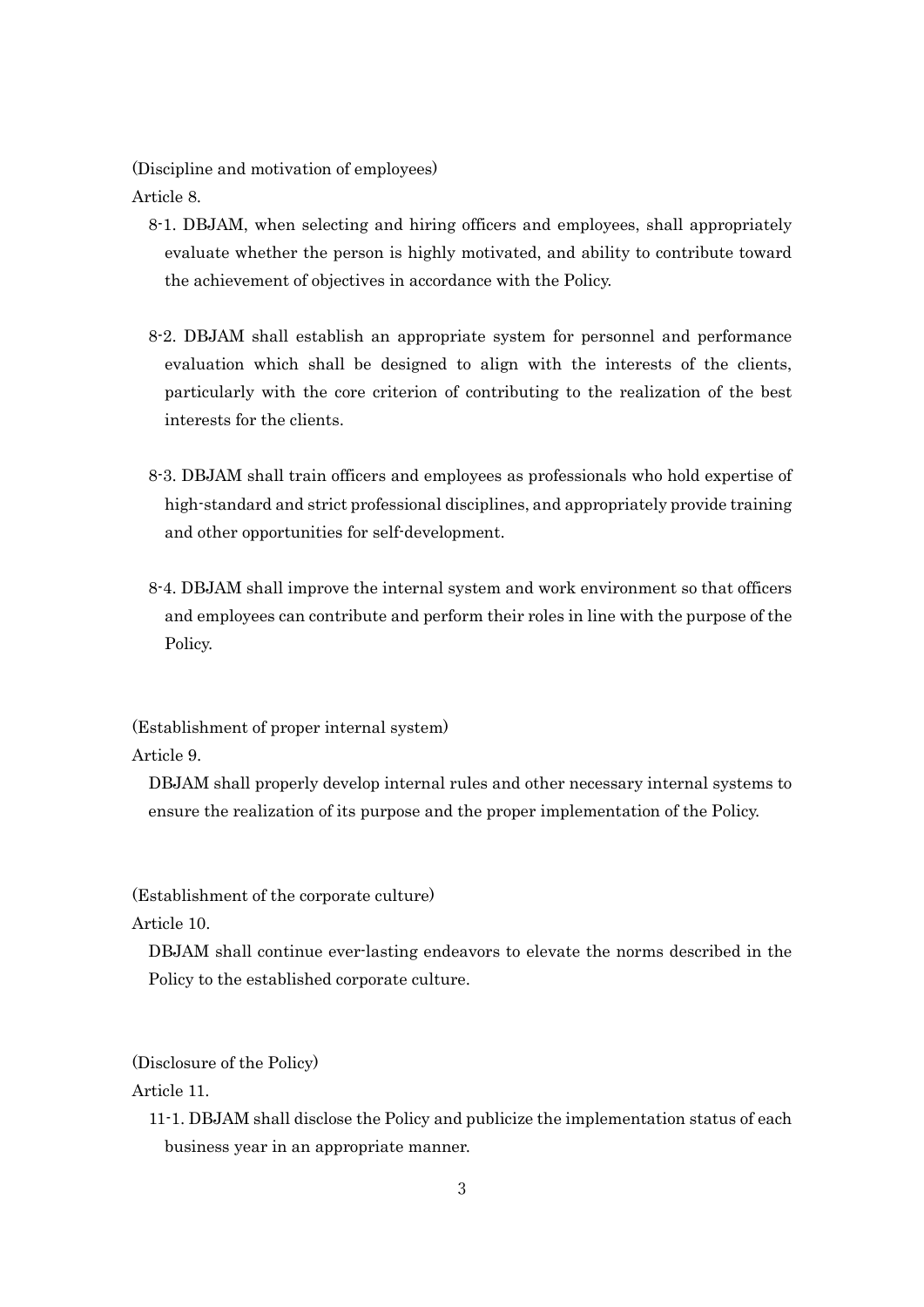(Discipline and motivation of employees) Article 8.

- 8-1. DBJAM, when selecting and hiring officers and employees, shall appropriately evaluate whether the person is highly motivated, and ability to contribute toward the achievement of objectives in accordance with the Policy.
- 8-2. DBJAM shall establish an appropriate system for personnel and performance evaluation which shall be designed to align with the interests of the clients, particularly with the core criterion of contributing to the realization of the best interests for the clients.
- 8-3. DBJAM shall train officers and employees as professionals who hold expertise of high-standard and strict professional disciplines, and appropriately provide training and other opportunities for self-development.
- 8-4. DBJAM shall improve the internal system and work environment so that officers and employees can contribute and perform their roles in line with the purpose of the Policy.

(Establishment of proper internal system) Article 9.

DBJAM shall properly develop internal rules and other necessary internal systems to ensure the realization of its purpose and the proper implementation of the Policy.

(Establishment of the corporate culture)

Article 10.

DBJAM shall continue ever-lasting endeavors to elevate the norms described in the Policy to the established corporate culture.

(Disclosure of the Policy)

Article 11.

11-1. DBJAM shall disclose the Policy and publicize the implementation status of each business year in an appropriate manner.